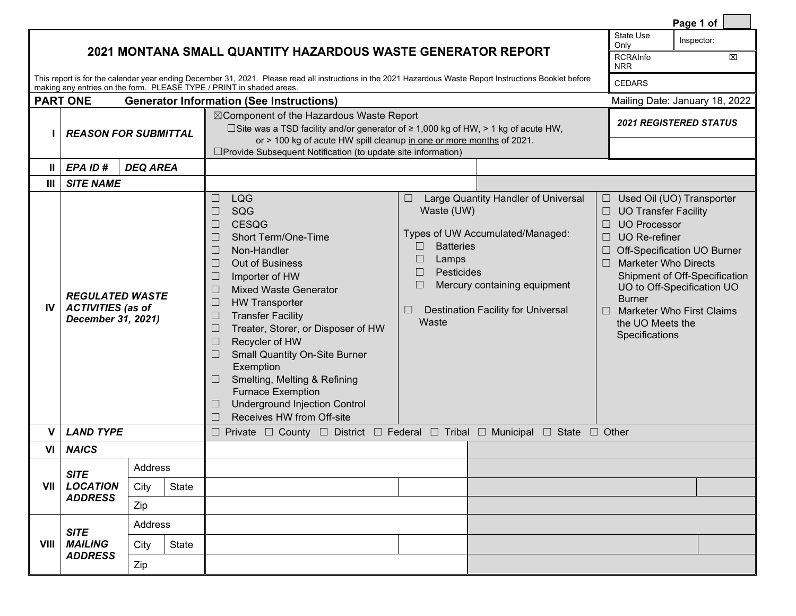|                                                                                                                                                                                                                                    |                                                                                |                 |                                |                                                                                                                                                                                                                                                                                                                                                                                                                                                                                                                                                                                                                          |                                                                                              |                                                                                                                                                      |                                                                                                                                                                                                          | Page 1 of                                                                                                                                                   |
|------------------------------------------------------------------------------------------------------------------------------------------------------------------------------------------------------------------------------------|--------------------------------------------------------------------------------|-----------------|--------------------------------|--------------------------------------------------------------------------------------------------------------------------------------------------------------------------------------------------------------------------------------------------------------------------------------------------------------------------------------------------------------------------------------------------------------------------------------------------------------------------------------------------------------------------------------------------------------------------------------------------------------------------|----------------------------------------------------------------------------------------------|------------------------------------------------------------------------------------------------------------------------------------------------------|----------------------------------------------------------------------------------------------------------------------------------------------------------------------------------------------------------|-------------------------------------------------------------------------------------------------------------------------------------------------------------|
| 2021 MONTANA SMALL QUANTITY HAZARDOUS WASTE GENERATOR REPORT                                                                                                                                                                       |                                                                                |                 |                                |                                                                                                                                                                                                                                                                                                                                                                                                                                                                                                                                                                                                                          |                                                                                              |                                                                                                                                                      |                                                                                                                                                                                                          | Inspector:<br>図                                                                                                                                             |
| This report is for the calendar year ending December 31, 2021. Please read all instructions in the 2021 Hazardous Waste Report Instructions Booklet before<br>making any entries on the form. PLEASE TYPE / PRINT in shaded areas. |                                                                                |                 |                                |                                                                                                                                                                                                                                                                                                                                                                                                                                                                                                                                                                                                                          |                                                                                              |                                                                                                                                                      |                                                                                                                                                                                                          |                                                                                                                                                             |
|                                                                                                                                                                                                                                    | <b>PART ONE</b>                                                                |                 | Mailing Date: January 18, 2022 |                                                                                                                                                                                                                                                                                                                                                                                                                                                                                                                                                                                                                          |                                                                                              |                                                                                                                                                      |                                                                                                                                                                                                          |                                                                                                                                                             |
|                                                                                                                                                                                                                                    | <b>Generator Information (See Instructions)</b><br><b>REASON FOR SUBMITTAL</b> |                 |                                | ⊠ Component of the Hazardous Waste Report<br>□ Site was a TSD facility and/or generator of $\geq 1,000$ kg of HW, > 1 kg of acute HW,<br>or > 100 kg of acute HW spill cleanup in one or more months of 2021.<br>□ Provide Subsequent Notification (to update site information)                                                                                                                                                                                                                                                                                                                                          | <b>2021 REGISTERED STATUS</b>                                                                |                                                                                                                                                      |                                                                                                                                                                                                          |                                                                                                                                                             |
| Ш                                                                                                                                                                                                                                  | EPA ID#                                                                        | <b>DEQ AREA</b> |                                |                                                                                                                                                                                                                                                                                                                                                                                                                                                                                                                                                                                                                          |                                                                                              |                                                                                                                                                      |                                                                                                                                                                                                          |                                                                                                                                                             |
| $\mathbf{III}$                                                                                                                                                                                                                     | <b>SITE NAME</b>                                                               |                 |                                |                                                                                                                                                                                                                                                                                                                                                                                                                                                                                                                                                                                                                          |                                                                                              |                                                                                                                                                      |                                                                                                                                                                                                          |                                                                                                                                                             |
| <b>IV</b>                                                                                                                                                                                                                          | <b>REGULATED WASTE</b><br><b>ACTIVITIES (as of</b><br>December 31, 2021)       |                 |                                | <b>LQG</b><br>$\Box$<br>SQG<br>$\Box$<br><b>CESQG</b><br>$\Box$<br><b>Short Term/One-Time</b><br>$\Box$<br>Non-Handler<br>$\Box$<br><b>Out of Business</b><br>$\Box$<br>Importer of HW<br>$\Box$<br><b>Mixed Waste Generator</b><br>$\Box$<br><b>HW Transporter</b><br>$\Box$<br><b>Transfer Facility</b><br>Ш<br>Treater, Storer, or Disposer of HW<br>$\Box$<br>Recycler of HW<br>$\Box$<br><b>Small Quantity On-Site Burner</b><br>$\Box$<br>Exemption<br>Smelting, Melting & Refining<br>$\Box$<br><b>Furnace Exemption</b><br><b>Underground Injection Control</b><br>$\Box$<br>Receives HW from Off-site<br>$\Box$ | Waste (UW)<br><b>Batteries</b><br>$\Box$<br>$\Box$<br>Lamps<br>Pesticides<br>$\Box$<br>Waste | Large Quantity Handler of Universal<br>Types of UW Accumulated/Managed:<br>Mercury containing equipment<br><b>Destination Facility for Universal</b> | $\Box$<br><b>UO Transfer Facility</b><br><b>UO Processor</b><br><b>UO</b> Re-refiner<br>$\Box$<br><b>Marketer Who Directs</b><br>$\Box$<br><b>Burner</b><br>$\Box$<br>the UO Meets the<br>Specifications | Used Oil (UO) Transporter<br>Off-Specification UO Burner<br>Shipment of Off-Specification<br>UO to Off-Specification UO<br><b>Marketer Who First Claims</b> |
| v                                                                                                                                                                                                                                  | <b>LAND TYPE</b>                                                               |                 |                                | $\Box$ Private $\Box$ County $\Box$ District $\Box$ Federal $\Box$ Tribal $\Box$ Municipal $\Box$ State $\Box$ Other                                                                                                                                                                                                                                                                                                                                                                                                                                                                                                     |                                                                                              |                                                                                                                                                      |                                                                                                                                                                                                          |                                                                                                                                                             |
| VI                                                                                                                                                                                                                                 | <b>NAICS</b>                                                                   |                 |                                |                                                                                                                                                                                                                                                                                                                                                                                                                                                                                                                                                                                                                          |                                                                                              |                                                                                                                                                      |                                                                                                                                                                                                          |                                                                                                                                                             |
|                                                                                                                                                                                                                                    | <b>SITE</b>                                                                    | Address         |                                |                                                                                                                                                                                                                                                                                                                                                                                                                                                                                                                                                                                                                          |                                                                                              |                                                                                                                                                      |                                                                                                                                                                                                          |                                                                                                                                                             |
| VII                                                                                                                                                                                                                                | <b>LOCATION</b><br><b>ADDRESS</b>                                              | City            | <b>State</b>                   |                                                                                                                                                                                                                                                                                                                                                                                                                                                                                                                                                                                                                          |                                                                                              |                                                                                                                                                      |                                                                                                                                                                                                          |                                                                                                                                                             |
|                                                                                                                                                                                                                                    |                                                                                | Zip             |                                |                                                                                                                                                                                                                                                                                                                                                                                                                                                                                                                                                                                                                          |                                                                                              |                                                                                                                                                      |                                                                                                                                                                                                          |                                                                                                                                                             |
|                                                                                                                                                                                                                                    | <b>SITE</b><br><b>MAILING</b><br><b>ADDRESS</b>                                | Address         |                                |                                                                                                                                                                                                                                                                                                                                                                                                                                                                                                                                                                                                                          |                                                                                              |                                                                                                                                                      |                                                                                                                                                                                                          |                                                                                                                                                             |
| VIII                                                                                                                                                                                                                               |                                                                                | City            | State                          |                                                                                                                                                                                                                                                                                                                                                                                                                                                                                                                                                                                                                          |                                                                                              |                                                                                                                                                      |                                                                                                                                                                                                          |                                                                                                                                                             |
|                                                                                                                                                                                                                                    |                                                                                | Zip             |                                |                                                                                                                                                                                                                                                                                                                                                                                                                                                                                                                                                                                                                          |                                                                                              |                                                                                                                                                      |                                                                                                                                                                                                          |                                                                                                                                                             |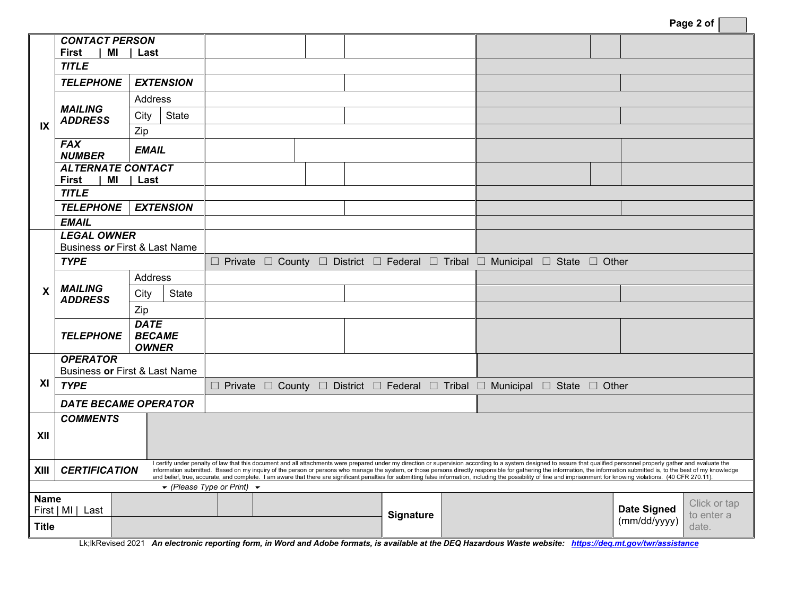| Page 2 of |  |
|-----------|--|
|-----------|--|

| IX                                                                                                                                                                                                                      | <b>CONTACT PERSON</b>                                                                                                                                                                                                                                                                                                                                                                                                                                                         |                               |                                                                              |  |           |  |                                                                              |                                     |
|-------------------------------------------------------------------------------------------------------------------------------------------------------------------------------------------------------------------------|-------------------------------------------------------------------------------------------------------------------------------------------------------------------------------------------------------------------------------------------------------------------------------------------------------------------------------------------------------------------------------------------------------------------------------------------------------------------------------|-------------------------------|------------------------------------------------------------------------------|--|-----------|--|------------------------------------------------------------------------------|-------------------------------------|
|                                                                                                                                                                                                                         | <b>First</b>                                                                                                                                                                                                                                                                                                                                                                                                                                                                  | MI   Last                     |                                                                              |  |           |  |                                                                              |                                     |
|                                                                                                                                                                                                                         | <b>TITLE</b>                                                                                                                                                                                                                                                                                                                                                                                                                                                                  |                               |                                                                              |  |           |  |                                                                              |                                     |
|                                                                                                                                                                                                                         | <b>TELEPHONE</b>                                                                                                                                                                                                                                                                                                                                                                                                                                                              | <b>EXTENSION</b>              |                                                                              |  |           |  |                                                                              |                                     |
|                                                                                                                                                                                                                         |                                                                                                                                                                                                                                                                                                                                                                                                                                                                               | Address                       |                                                                              |  |           |  |                                                                              |                                     |
|                                                                                                                                                                                                                         | <b>MAILING</b><br><b>ADDRESS</b>                                                                                                                                                                                                                                                                                                                                                                                                                                              | City<br>State                 |                                                                              |  |           |  |                                                                              |                                     |
|                                                                                                                                                                                                                         |                                                                                                                                                                                                                                                                                                                                                                                                                                                                               | Zip                           |                                                                              |  |           |  |                                                                              |                                     |
|                                                                                                                                                                                                                         | <b>FAX</b><br><b>EMAIL</b><br><b>NUMBER</b>                                                                                                                                                                                                                                                                                                                                                                                                                                   |                               |                                                                              |  |           |  |                                                                              |                                     |
|                                                                                                                                                                                                                         | <b>ALTERNATE CONTACT</b>                                                                                                                                                                                                                                                                                                                                                                                                                                                      |                               |                                                                              |  |           |  |                                                                              |                                     |
|                                                                                                                                                                                                                         | First<br>MI                                                                                                                                                                                                                                                                                                                                                                                                                                                                   | Last                          |                                                                              |  |           |  |                                                                              |                                     |
|                                                                                                                                                                                                                         | <b>TITLE</b>                                                                                                                                                                                                                                                                                                                                                                                                                                                                  |                               |                                                                              |  |           |  |                                                                              |                                     |
|                                                                                                                                                                                                                         | <b>TELEPHONE</b>                                                                                                                                                                                                                                                                                                                                                                                                                                                              | <b>EXTENSION</b>              |                                                                              |  |           |  |                                                                              |                                     |
|                                                                                                                                                                                                                         | <b>EMAIL</b>                                                                                                                                                                                                                                                                                                                                                                                                                                                                  |                               |                                                                              |  |           |  |                                                                              |                                     |
|                                                                                                                                                                                                                         | <b>LEGAL OWNER</b>                                                                                                                                                                                                                                                                                                                                                                                                                                                            |                               |                                                                              |  |           |  |                                                                              |                                     |
|                                                                                                                                                                                                                         | Business or First & Last Name                                                                                                                                                                                                                                                                                                                                                                                                                                                 |                               |                                                                              |  |           |  |                                                                              |                                     |
|                                                                                                                                                                                                                         | <b>TYPE</b>                                                                                                                                                                                                                                                                                                                                                                                                                                                                   |                               | □ Private □ County □ District □ Federal □ Tribal □ Municipal □ State □ Other |  |           |  |                                                                              |                                     |
|                                                                                                                                                                                                                         |                                                                                                                                                                                                                                                                                                                                                                                                                                                                               | Address                       |                                                                              |  |           |  |                                                                              |                                     |
| $\mathsf{X}$                                                                                                                                                                                                            | <b>MAILING</b><br><b>ADDRESS</b>                                                                                                                                                                                                                                                                                                                                                                                                                                              | City<br>State                 |                                                                              |  |           |  |                                                                              |                                     |
|                                                                                                                                                                                                                         |                                                                                                                                                                                                                                                                                                                                                                                                                                                                               | Zip                           |                                                                              |  |           |  |                                                                              |                                     |
|                                                                                                                                                                                                                         |                                                                                                                                                                                                                                                                                                                                                                                                                                                                               | <b>DATE</b>                   |                                                                              |  |           |  |                                                                              |                                     |
|                                                                                                                                                                                                                         | <b>TELEPHONE</b>                                                                                                                                                                                                                                                                                                                                                                                                                                                              | <b>BECAME</b><br><b>OWNER</b> |                                                                              |  |           |  |                                                                              |                                     |
|                                                                                                                                                                                                                         | <b>OPERATOR</b>                                                                                                                                                                                                                                                                                                                                                                                                                                                               |                               |                                                                              |  |           |  |                                                                              |                                     |
|                                                                                                                                                                                                                         | Business or First & Last Name                                                                                                                                                                                                                                                                                                                                                                                                                                                 |                               |                                                                              |  |           |  |                                                                              |                                     |
| XI                                                                                                                                                                                                                      | <b>TYPE</b>                                                                                                                                                                                                                                                                                                                                                                                                                                                                   |                               |                                                                              |  |           |  | □ Private □ County □ District □ Federal □ Tribal □ Municipal □ State □ Other |                                     |
|                                                                                                                                                                                                                         | <b>DATE BECAME OPERATOR</b>                                                                                                                                                                                                                                                                                                                                                                                                                                                   |                               |                                                                              |  |           |  |                                                                              |                                     |
|                                                                                                                                                                                                                         | <b>COMMENTS</b>                                                                                                                                                                                                                                                                                                                                                                                                                                                               |                               |                                                                              |  |           |  |                                                                              |                                     |
| XII                                                                                                                                                                                                                     |                                                                                                                                                                                                                                                                                                                                                                                                                                                                               |                               |                                                                              |  |           |  |                                                                              |                                     |
|                                                                                                                                                                                                                         |                                                                                                                                                                                                                                                                                                                                                                                                                                                                               |                               |                                                                              |  |           |  |                                                                              |                                     |
| XIII                                                                                                                                                                                                                    | I certify under penalty of law that this document and all attachments were prepared under my direction or supervision according to a system designed to assure that qualified personnel properly gather and evaluate the<br><b>CERTIFICATION</b><br>information submitted. Based on my inquiry of the person or persons who manage the system, or those persons directly responsible for gathering the information, the information submitted is, to the best of my knowledge |                               |                                                                              |  |           |  |                                                                              |                                     |
| and belief, true, accurate, and complete. I am aware that there are significant penalties for submitting false information, including the possibility of fine and imprisonment for knowing violations. (40 CFR 270.11). |                                                                                                                                                                                                                                                                                                                                                                                                                                                                               |                               |                                                                              |  |           |  |                                                                              |                                     |
| $\blacktriangleright$ (Please Type or Print) $\blacktriangleright$<br><b>Name</b>                                                                                                                                       |                                                                                                                                                                                                                                                                                                                                                                                                                                                                               |                               |                                                                              |  |           |  |                                                                              |                                     |
| First   MI   Last                                                                                                                                                                                                       |                                                                                                                                                                                                                                                                                                                                                                                                                                                                               |                               |                                                                              |  |           |  |                                                                              | Click or tap<br><b>Date Signed</b>  |
| <b>Title</b>                                                                                                                                                                                                            |                                                                                                                                                                                                                                                                                                                                                                                                                                                                               |                               |                                                                              |  | Signature |  |                                                                              | to enter a<br>(mm/dd/yyyy)<br>date. |
|                                                                                                                                                                                                                         |                                                                                                                                                                                                                                                                                                                                                                                                                                                                               |                               |                                                                              |  |           |  |                                                                              |                                     |

Lk;lkRevised 2021 An electronic reporting form, in Word and Adobe formats, is available at the DEQ Hazardous Waste website: *[https://deq.mt.gov/twr/assistance](https://deq.mt.gov/twr/assistance#accordion2-collapse1)*